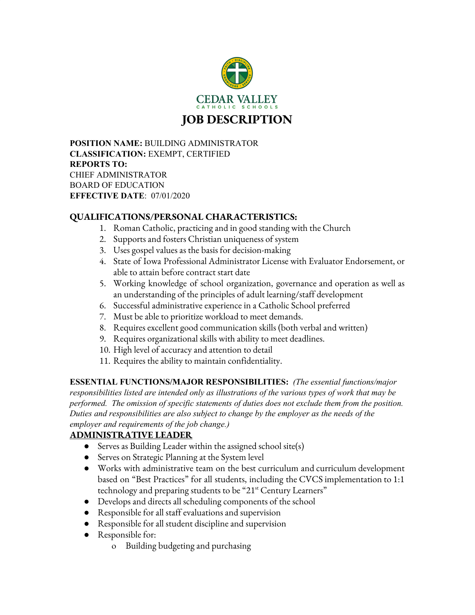

JOB DESCRIPTION

**POSITION NAME:** BUILDING ADMINISTRATOR **CLASSIFICATION:** EXEMPT, CERTIFIED **REPORTS TO:** CHIEF ADMINISTRATOR BOARD OF EDUCATION **EFFECTIVE DATE**: 07/01/2020

## QUALIFICATIONS/PERSONAL CHARACTERISTICS:

- 1. Roman Catholic, practicing and in good standing with the Church
- 2. Supports and fosters Christian uniqueness of system
- 3. Uses gospel values as the basis for decision-making
- 4. State of Iowa Professional Administrator License with Evaluator Endorsement, or able to attain before contract start date
- 5. Working knowledge of school organization, governance and operation as well as an understanding of the principles of adult learning/staff development
- 6. Successful administrative experience in a Catholic School preferred
- 7. Must be able to prioritize workload to meet demands.
- 8. Requires excellent good communication skills (both verbal and written)
- 9. Requires organizational skills with ability to meet deadlines.
- 10. High level of accuracy and attention to detail
- 11. Requires the ability to maintain confidentiality.

**ESSENTIAL FUNCTIONS/MAJOR RESPONSIBILITIES:** *(The essential functions/major responsibilities listed are intended only as illustrations of the various types of work that may be performed. The omission of specific statements of duties does not exclude them from the position. Duties and responsibilities are also subject to change by the employer as the needs of the employer and requirements of the job change.)*

## ADMINISTRATIVE LEADER

- Serves as Building Leader within the assigned school site(s)
- Serves on Strategic Planning at the System level
- Works with administrative team on the best curriculum and curriculum development based on "Best Practices" for all students, including the CVCS implementation to 1:1 technology and preparing students to be "21<sup>st</sup> Century Learners"
- Develops and directs all scheduling components of the school
- Responsible for all staff evaluations and supervision
- Responsible for all student discipline and supervision
- Responsible for:
	- o Building budgeting and purchasing